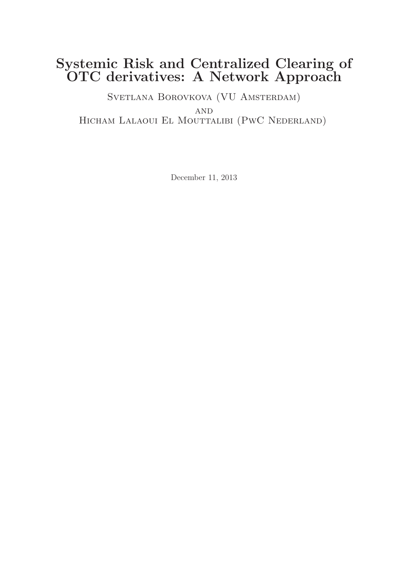## Systemic Risk and Centralized Clearing of OTC derivatives: A Network Approach

SVETLANA BOROVKOVA (VU AMSTERDAM) AND Hicham Lalaoui El Mouttalibi (PwC Nederland)

December 11, 2013